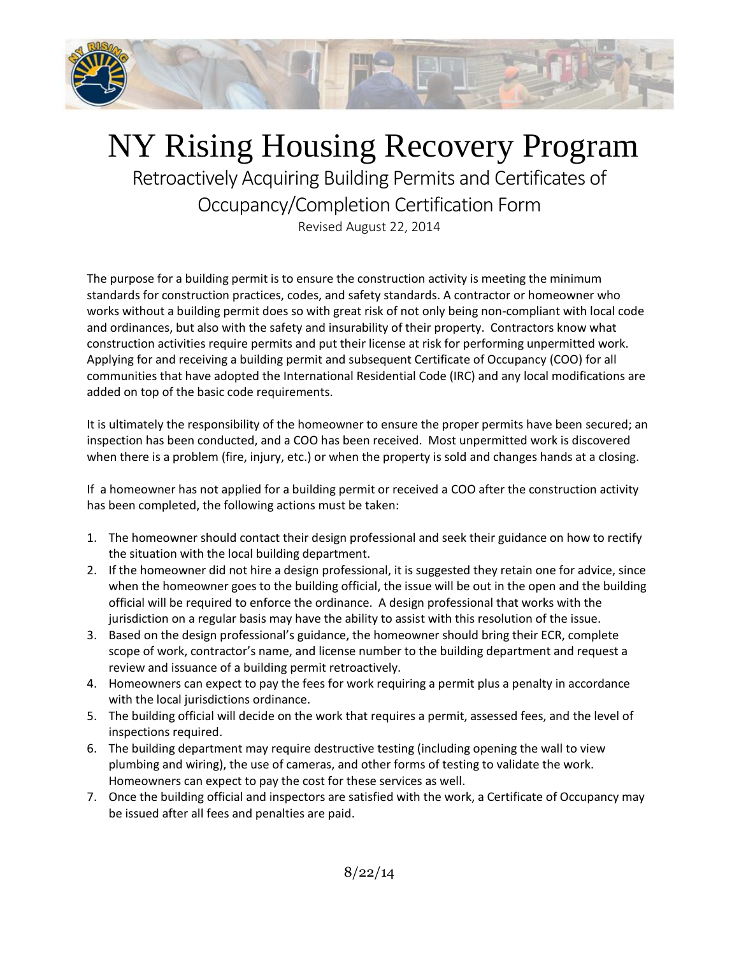

## NY Rising Housing Recovery Program

Retroactively Acquiring Building Permits and Certificates of Occupancy/Completion Certification Form

Revised August 22, 2014

The purpose for a building permit is to ensure the construction activity is meeting the minimum standards for construction practices, codes, and safety standards. A contractor or homeowner who works without a building permit does so with great risk of not only being non-compliant with local code and ordinances, but also with the safety and insurability of their property. Contractors know what construction activities require permits and put their license at risk for performing unpermitted work. Applying for and receiving a building permit and subsequent Certificate of Occupancy (COO) for all communities that have adopted the International Residential Code (IRC) and any local modifications are added on top of the basic code requirements.

It is ultimately the responsibility of the homeowner to ensure the proper permits have been secured; an inspection has been conducted, and a COO has been received. Most unpermitted work is discovered when there is a problem (fire, injury, etc.) or when the property is sold and changes hands at a closing.

If a homeowner has not applied for a building permit or received a COO after the construction activity has been completed, the following actions must be taken:

- 1. The homeowner should contact their design professional and seek their guidance on how to rectify the situation with the local building department.
- 2. If the homeowner did not hire a design professional, it is suggested they retain one for advice, since when the homeowner goes to the building official, the issue will be out in the open and the building official will be required to enforce the ordinance. A design professional that works with the jurisdiction on a regular basis may have the ability to assist with this resolution of the issue.
- 3. Based on the design professional's guidance, the homeowner should bring their ECR, complete scope of work, contractor's name, and license number to the building department and request a review and issuance of a building permit retroactively.
- 4. Homeowners can expect to pay the fees for work requiring a permit plus a penalty in accordance with the local jurisdictions ordinance.
- 5. The building official will decide on the work that requires a permit, assessed fees, and the level of inspections required.
- 6. The building department may require destructive testing (including opening the wall to view plumbing and wiring), the use of cameras, and other forms of testing to validate the work. Homeowners can expect to pay the cost for these services as well.
- 7. Once the building official and inspectors are satisfied with the work, a Certificate of Occupancy may be issued after all fees and penalties are paid.